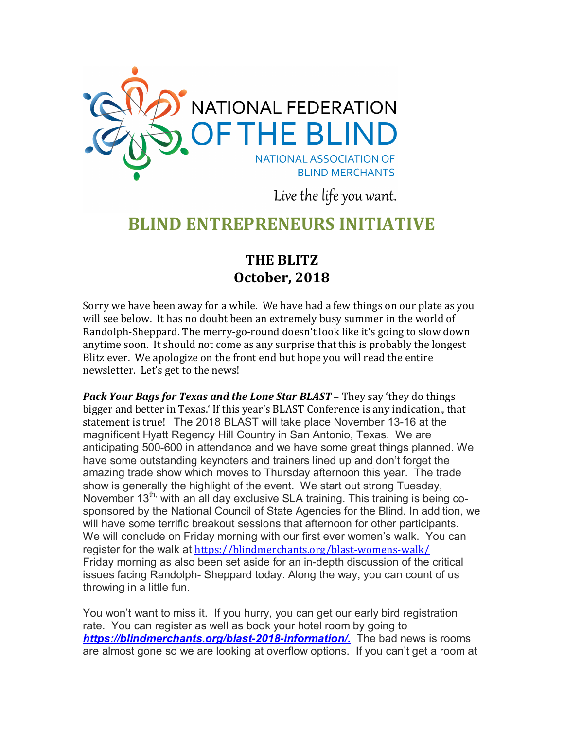

Live the life you want.

# **BLIND ENTREPRENEURS INITIATIVE**

# **THE BLITZ October, 2018**

Sorry we have been away for a while. We have had a few things on our plate as you will see below. It has no doubt been an extremely busy summer in the world of Randolph-Sheppard. The merry-go-round doesn't look like it's going to slow down anytime soon. It should not come as any surprise that this is probably the longest Blitz ever. We apologize on the front end but hope you will read the entire newsletter. Let's get to the news!

*Pack Your Bags for Texas and the Lone Star BLAST – They say 'they do things* bigger and better in Texas.' If this year's BLAST Conference is any indication., that statement is true! The 2018 BLAST will take place November 13-16 at the magnificent Hyatt Regency Hill Country in San Antonio, Texas. We are anticipating 500-600 in attendance and we have some great things planned. We have some outstanding keynoters and trainers lined up and don't forget the amazing trade show which moves to Thursday afternoon this year. The trade show is generally the highlight of the event. We start out strong Tuesday, November 13<sup>th,</sup> with an all day exclusive SLA training. This training is being cosponsored by the National Council of State Agencies for the Blind. In addition, we will have some terrific breakout sessions that afternoon for other participants. We will conclude on Friday morning with our first ever women's walk. You can register for the walk at <https://blindmerchants.org/blast-womens-walk/> Friday morning as also been set aside for an in-depth discussion of the critical issues facing Randolph- Sheppard today. Along the way, you can count of us throwing in a little fun.

You won't want to miss it. If you hurry, you can get our early bird registration rate. You can register as well as book your hotel room by going to *[https://blindmerchants.org/blast-2018-information/.](https://blindmerchants.org/blast-2018-information/)* The bad news is rooms are almost gone so we are looking at overflow options. If you can't get a room at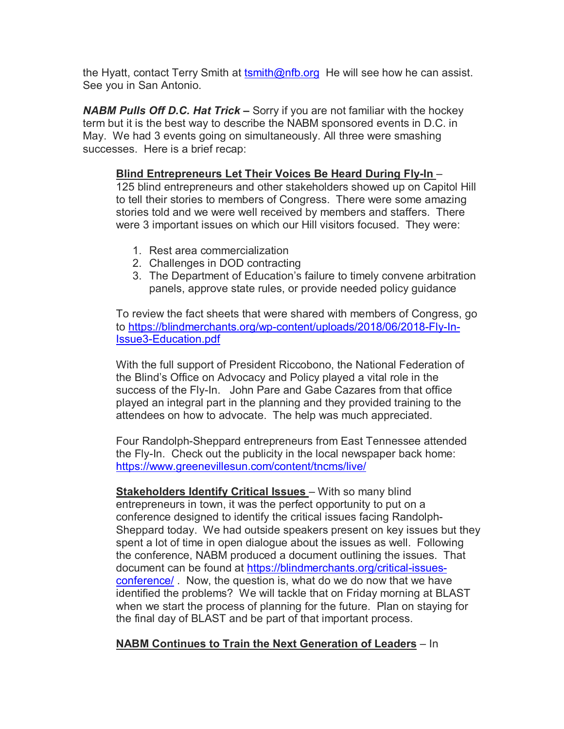the Hyatt, contact Terry Smith at [tsmith@nfb.org](mailto:tsmith@nfb.org) He will see how he can assist. See you in San Antonio.

*NABM Pulls Off D.C. Hat Trick –* Sorry if you are not familiar with the hockey term but it is the best way to describe the NABM sponsored events in D.C. in May. We had 3 events going on simultaneously. All three were smashing successes. Here is a brief recap:

## **Blind Entrepreneurs Let Their Voices Be Heard During Fly-In** –

125 blind entrepreneurs and other stakeholders showed up on Capitol Hill to tell their stories to members of Congress. There were some amazing stories told and we were well received by members and staffers. There were 3 important issues on which our Hill visitors focused. They were:

- 1. Rest area commercialization
- 2. Challenges in DOD contracting
- 3. The Department of Education's failure to timely convene arbitration panels, approve state rules, or provide needed policy guidance

To review the fact sheets that were shared with members of Congress, go to [https://blindmerchants.org/wp-content/uploads/2018/06/2018-Fly-In-](https://blindmerchants.org/wp-content/uploads/2018/06/2018-Fly-In-Issue3-Education.pdf)[Issue3-Education.pdf](https://blindmerchants.org/wp-content/uploads/2018/06/2018-Fly-In-Issue3-Education.pdf)

With the full support of President Riccobono, the National Federation of the Blind's Office on Advocacy and Policy played a vital role in the success of the Fly-In. John Pare and Gabe Cazares from that office played an integral part in the planning and they provided training to the attendees on how to advocate. The help was much appreciated.

Four Randolph-Sheppard entrepreneurs from East Tennessee attended the Fly-In. Check out the publicity in the local newspaper back home: <https://www.greenevillesun.com/content/tncms/live/>

**Stakeholders Identify Critical Issues** – With so many blind entrepreneurs in town, it was the perfect opportunity to put on a conference designed to identify the critical issues facing Randolph-Sheppard today. We had outside speakers present on key issues but they spent a lot of time in open dialogue about the issues as well. Following the conference, NABM produced a document outlining the issues. That document can be found at [https://blindmerchants.org/critical-issues](https://blindmerchants.org/critical-issues-conference/)[conference/](https://blindmerchants.org/critical-issues-conference/) . Now, the question is, what do we do now that we have identified the problems? We will tackle that on Friday morning at BLAST when we start the process of planning for the future. Plan on staying for the final day of BLAST and be part of that important process.

### **NABM Continues to Train the Next Generation of Leaders** – In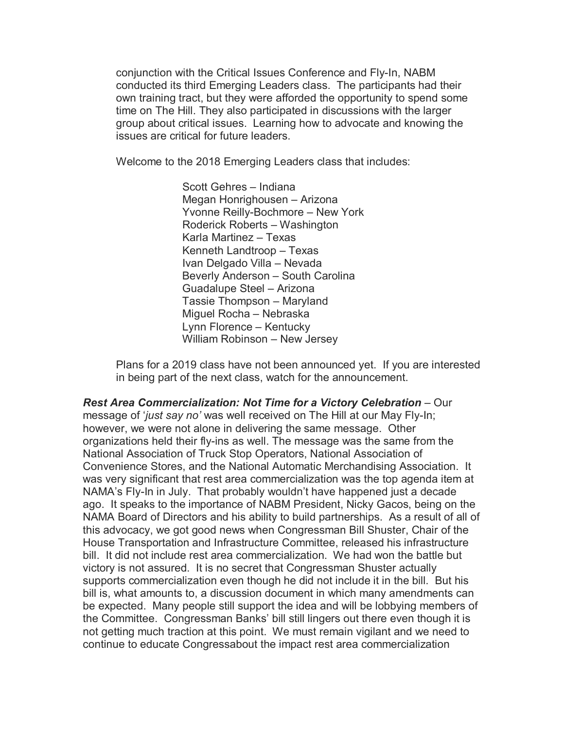conjunction with the Critical Issues Conference and Fly-In, NABM conducted its third Emerging Leaders class. The participants had their own training tract, but they were afforded the opportunity to spend some time on The Hill. They also participated in discussions with the larger group about critical issues. Learning how to advocate and knowing the issues are critical for future leaders.

Welcome to the 2018 Emerging Leaders class that includes:

Scott Gehres – Indiana Megan Honrighousen – Arizona Yvonne Reilly-Bochmore – New York Roderick Roberts – Washington Karla Martinez – Texas Kenneth Landtroop – Texas Ivan Delgado Villa – Nevada Beverly Anderson – South Carolina Guadalupe Steel – Arizona Tassie Thompson – Maryland Miguel Rocha – Nebraska Lynn Florence – Kentucky William Robinson – New Jersey

Plans for a 2019 class have not been announced yet. If you are interested in being part of the next class, watch for the announcement.

*Rest Area Commercialization: Not Time for a Victory Celebration* – Our message of '*just say no'* was well received on The Hill at our May Fly-In; however, we were not alone in delivering the same message. Other organizations held their fly-ins as well. The message was the same from the National Association of Truck Stop Operators, National Association of Convenience Stores, and the National Automatic Merchandising Association. It was very significant that rest area commercialization was the top agenda item at NAMA's Fly-In in July. That probably wouldn't have happened just a decade ago. It speaks to the importance of NABM President, Nicky Gacos, being on the NAMA Board of Directors and his ability to build partnerships. As a result of all of this advocacy, we got good news when Congressman Bill Shuster, Chair of the House Transportation and Infrastructure Committee, released his infrastructure bill. It did not include rest area commercialization. We had won the battle but victory is not assured. It is no secret that Congressman Shuster actually supports commercialization even though he did not include it in the bill. But his bill is, what amounts to, a discussion document in which many amendments can be expected. Many people still support the idea and will be lobbying members of the Committee. Congressman Banks' bill still lingers out there even though it is not getting much traction at this point. We must remain vigilant and we need to continue to educate Congressabout the impact rest area commercialization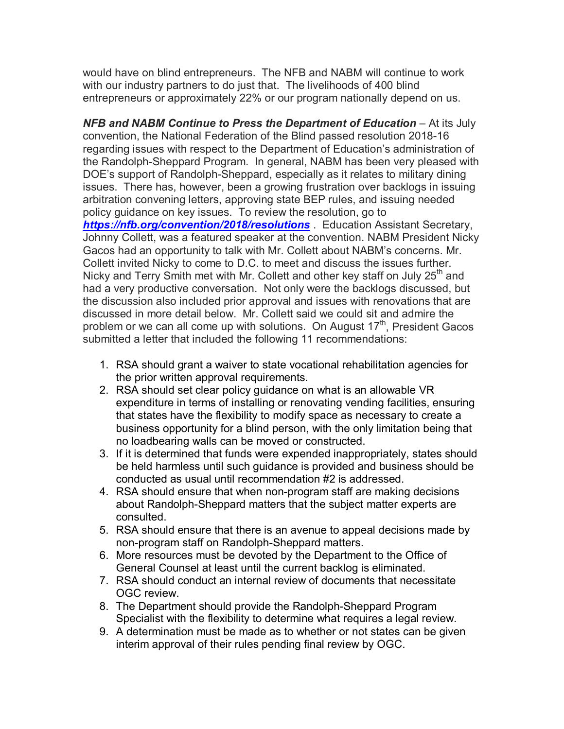would have on blind entrepreneurs. The NFB and NABM will continue to work with our industry partners to do just that. The livelihoods of 400 blind entrepreneurs or approximately 22% or our program nationally depend on us.

**NFB and NABM Continue to Press the Department of Education** – At its July convention, the National Federation of the Blind passed resolution 2018-16 regarding issues with respect to the Department of Education's administration of the Randolph-Sheppard Program. In general, NABM has been very pleased with DOE's support of Randolph-Sheppard, especially as it relates to military dining issues. There has, however, been a growing frustration over backlogs in issuing arbitration convening letters, approving state BEP rules, and issuing needed policy guidance on key issues. To review the resolution, go to *<https://nfb.org/convention/2018/resolutions>* . Education Assistant Secretary, Johnny Collett, was a featured speaker at the convention. NABM President Nicky Gacos had an opportunity to talk with Mr. Collett about NABM's concerns. Mr. Collett invited Nicky to come to D.C. to meet and discuss the issues further. Nicky and Terry Smith met with Mr. Collett and other key staff on July  $25<sup>th</sup>$  and had a very productive conversation. Not only were the backlogs discussed, but the discussion also included prior approval and issues with renovations that are discussed in more detail below. Mr. Collett said we could sit and admire the problem or we can all come up with solutions. On August 17<sup>th</sup>, President Gacos submitted a letter that included the following 11 recommendations:

- 1. RSA should grant a waiver to state vocational rehabilitation agencies for the prior written approval requirements.
- 2. RSA should set clear policy guidance on what is an allowable VR expenditure in terms of installing or renovating vending facilities, ensuring that states have the flexibility to modify space as necessary to create a business opportunity for a blind person, with the only limitation being that no loadbearing walls can be moved or constructed.
- 3. If it is determined that funds were expended inappropriately, states should be held harmless until such guidance is provided and business should be conducted as usual until recommendation #2 is addressed.
- 4. RSA should ensure that when non-program staff are making decisions about Randolph-Sheppard matters that the subject matter experts are consulted.
- 5. RSA should ensure that there is an avenue to appeal decisions made by non-program staff on Randolph-Sheppard matters.
- 6. More resources must be devoted by the Department to the Office of General Counsel at least until the current backlog is eliminated.
- 7. RSA should conduct an internal review of documents that necessitate OGC review.
- 8. The Department should provide the Randolph-Sheppard Program Specialist with the flexibility to determine what requires a legal review.
- 9. A determination must be made as to whether or not states can be given interim approval of their rules pending final review by OGC.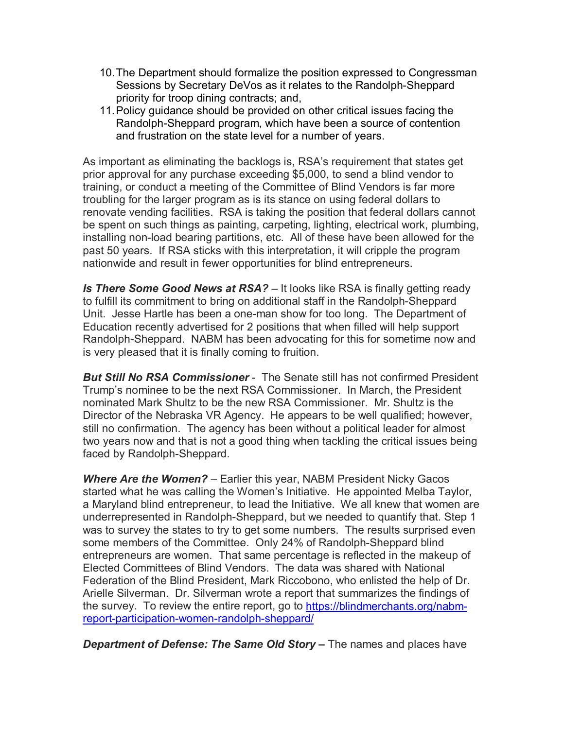- 10.The Department should formalize the position expressed to Congressman Sessions by Secretary DeVos as it relates to the Randolph-Sheppard priority for troop dining contracts; and,
- 11.Policy guidance should be provided on other critical issues facing the Randolph-Sheppard program, which have been a source of contention and frustration on the state level for a number of years.

As important as eliminating the backlogs is, RSA's requirement that states get prior approval for any purchase exceeding \$5,000, to send a blind vendor to training, or conduct a meeting of the Committee of Blind Vendors is far more troubling for the larger program as is its stance on using federal dollars to renovate vending facilities. RSA is taking the position that federal dollars cannot be spent on such things as painting, carpeting, lighting, electrical work, plumbing, installing non-load bearing partitions, etc. All of these have been allowed for the past 50 years. If RSA sticks with this interpretation, it will cripple the program nationwide and result in fewer opportunities for blind entrepreneurs.

**Is There Some Good News at RSA?** – It looks like RSA is finally getting ready to fulfill its commitment to bring on additional staff in the Randolph-Sheppard Unit. Jesse Hartle has been a one-man show for too long. The Department of Education recently advertised for 2 positions that when filled will help support Randolph-Sheppard. NABM has been advocating for this for sometime now and is very pleased that it is finally coming to fruition.

*But Still No RSA Commissioner* - The Senate still has not confirmed President Trump's nominee to be the next RSA Commissioner. In March, the President nominated Mark Shultz to be the new RSA Commissioner. Mr. Shultz is the Director of the Nebraska VR Agency. He appears to be well qualified; however, still no confirmation. The agency has been without a political leader for almost two years now and that is not a good thing when tackling the critical issues being faced by Randolph-Sheppard.

*Where Are the Women?* – Earlier this year, NABM President Nicky Gacos started what he was calling the Women's Initiative. He appointed Melba Taylor, a Maryland blind entrepreneur, to lead the Initiative. We all knew that women are underrepresented in Randolph-Sheppard, but we needed to quantify that. Step 1 was to survey the states to try to get some numbers. The results surprised even some members of the Committee. Only 24% of Randolph-Sheppard blind entrepreneurs are women. That same percentage is reflected in the makeup of Elected Committees of Blind Vendors. The data was shared with National Federation of the Blind President, Mark Riccobono, who enlisted the help of Dr. Arielle Silverman. Dr. Silverman wrote a report that summarizes the findings of the survey. To review the entire report, go to [https://blindmerchants.org/nabm](https://blindmerchants.org/nabm-report-participation-women-randolph-sheppard/)[report-participation-women-randolph-sheppard/](https://blindmerchants.org/nabm-report-participation-women-randolph-sheppard/)

*Department of Defense: The Same Old Story –* The names and places have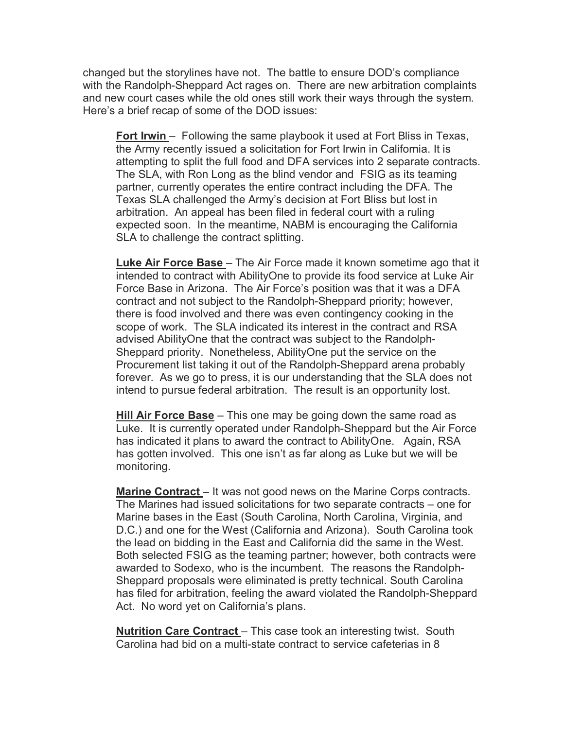changed but the storylines have not. The battle to ensure DOD's compliance with the Randolph-Sheppard Act rages on. There are new arbitration complaints and new court cases while the old ones still work their ways through the system. Here's a brief recap of some of the DOD issues:

**Fort Irwin** – Following the same playbook it used at Fort Bliss in Texas, the Army recently issued a solicitation for Fort Irwin in California. It is attempting to split the full food and DFA services into 2 separate contracts. The SLA, with Ron Long as the blind vendor and FSIG as its teaming partner, currently operates the entire contract including the DFA. The Texas SLA challenged the Army's decision at Fort Bliss but lost in arbitration. An appeal has been filed in federal court with a ruling expected soon. In the meantime, NABM is encouraging the California SLA to challenge the contract splitting.

**Luke Air Force Base** – The Air Force made it known sometime ago that it intended to contract with AbilityOne to provide its food service at Luke Air Force Base in Arizona. The Air Force's position was that it was a DFA contract and not subject to the Randolph-Sheppard priority; however, there is food involved and there was even contingency cooking in the scope of work. The SLA indicated its interest in the contract and RSA advised AbilityOne that the contract was subject to the Randolph-Sheppard priority. Nonetheless, AbilityOne put the service on the Procurement list taking it out of the Randolph-Sheppard arena probably forever. As we go to press, it is our understanding that the SLA does not intend to pursue federal arbitration. The result is an opportunity lost.

**Hill Air Force Base** – This one may be going down the same road as Luke. It is currently operated under Randolph-Sheppard but the Air Force has indicated it plans to award the contract to AbilityOne. Again, RSA has gotten involved. This one isn't as far along as Luke but we will be monitoring.

**Marine Contract** – It was not good news on the Marine Corps contracts. The Marines had issued solicitations for two separate contracts – one for Marine bases in the East (South Carolina, North Carolina, Virginia, and D.C.) and one for the West (California and Arizona). South Carolina took the lead on bidding in the East and California did the same in the West. Both selected FSIG as the teaming partner; however, both contracts were awarded to Sodexo, who is the incumbent. The reasons the Randolph-Sheppard proposals were eliminated is pretty technical. South Carolina has filed for arbitration, feeling the award violated the Randolph-Sheppard Act. No word yet on California's plans.

**Nutrition Care Contract** – This case took an interesting twist. South Carolina had bid on a multi-state contract to service cafeterias in 8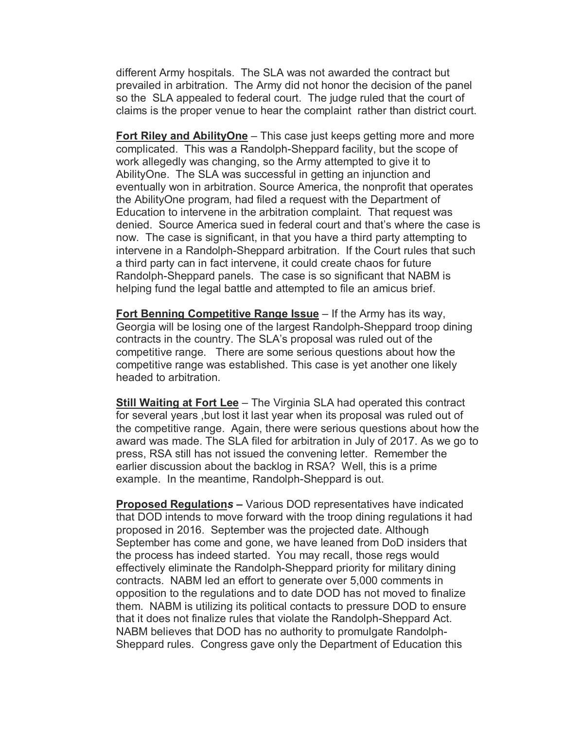different Army hospitals. The SLA was not awarded the contract but prevailed in arbitration. The Army did not honor the decision of the panel so the SLA appealed to federal court. The judge ruled that the court of claims is the proper venue to hear the complaint rather than district court.

**Fort Riley and AbilityOne** – This case just keeps getting more and more complicated. This was a Randolph-Sheppard facility, but the scope of work allegedly was changing, so the Army attempted to give it to AbilityOne. The SLA was successful in getting an injunction and eventually won in arbitration. Source America, the nonprofit that operates the AbilityOne program, had filed a request with the Department of Education to intervene in the arbitration complaint. That request was denied. Source America sued in federal court and that's where the case is now. The case is significant, in that you have a third party attempting to intervene in a Randolph-Sheppard arbitration. If the Court rules that such a third party can in fact intervene, it could create chaos for future Randolph-Sheppard panels. The case is so significant that NABM is helping fund the legal battle and attempted to file an amicus brief.

**Fort Benning Competitive Range Issue** – If the Army has its way, Georgia will be losing one of the largest Randolph-Sheppard troop dining contracts in the country. The SLA's proposal was ruled out of the competitive range. There are some serious questions about how the competitive range was established. This case is yet another one likely headed to arbitration.

**Still Waiting at Fort Lee** - The Virginia SLA had operated this contract for several years ,but lost it last year when its proposal was ruled out of the competitive range. Again, there were serious questions about how the award was made. The SLA filed for arbitration in July of 2017. As we go to press, RSA still has not issued the convening letter. Remember the earlier discussion about the backlog in RSA? Well, this is a prime example. In the meantime, Randolph-Sheppard is out.

**Proposed Regulation***s –* Various DOD representatives have indicated that DOD intends to move forward with the troop dining regulations it had proposed in 2016. September was the projected date. Although September has come and gone, we have leaned from DoD insiders that the process has indeed started. You may recall, those regs would effectively eliminate the Randolph-Sheppard priority for military dining contracts. NABM led an effort to generate over 5,000 comments in opposition to the regulations and to date DOD has not moved to finalize them. NABM is utilizing its political contacts to pressure DOD to ensure that it does not finalize rules that violate the Randolph-Sheppard Act. NABM believes that DOD has no authority to promulgate Randolph-Sheppard rules. Congress gave only the Department of Education this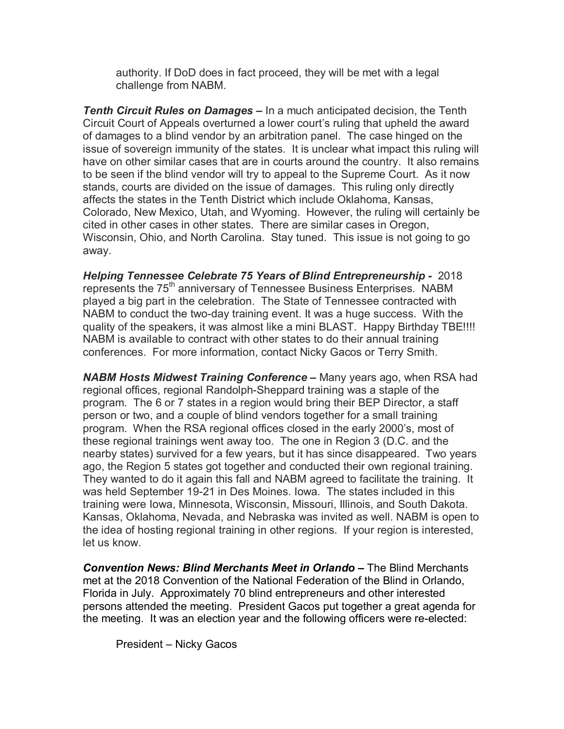authority. If DoD does in fact proceed, they will be met with a legal challenge from NABM.

*Tenth Circuit Rules on Damages –* In a much anticipated decision, the Tenth Circuit Court of Appeals overturned a lower court's ruling that upheld the award of damages to a blind vendor by an arbitration panel. The case hinged on the issue of sovereign immunity of the states. It is unclear what impact this ruling will have on other similar cases that are in courts around the country. It also remains to be seen if the blind vendor will try to appeal to the Supreme Court. As it now stands, courts are divided on the issue of damages. This ruling only directly affects the states in the Tenth District which include Oklahoma, Kansas, Colorado, New Mexico, Utah, and Wyoming. However, the ruling will certainly be cited in other cases in other states. There are similar cases in Oregon, Wisconsin, Ohio, and North Carolina. Stay tuned. This issue is not going to go away.

*Helping Tennessee Celebrate 75 Years of Blind Entrepreneurship -* 2018 represents the 75<sup>th</sup> anniversary of Tennessee Business Enterprises. NABM played a big part in the celebration. The State of Tennessee contracted with NABM to conduct the two-day training event. It was a huge success. With the quality of the speakers, it was almost like a mini BLAST. Happy Birthday TBE!!!! NABM is available to contract with other states to do their annual training conferences. For more information, contact Nicky Gacos or Terry Smith.

*NABM Hosts Midwest Training Conference –* Many years ago, when RSA had regional offices, regional Randolph-Sheppard training was a staple of the program. The 6 or 7 states in a region would bring their BEP Director, a staff person or two, and a couple of blind vendors together for a small training program. When the RSA regional offices closed in the early 2000's, most of these regional trainings went away too. The one in Region 3 (D.C. and the nearby states) survived for a few years, but it has since disappeared. Two years ago, the Region 5 states got together and conducted their own regional training. They wanted to do it again this fall and NABM agreed to facilitate the training. It was held September 19-21 in Des Moines. Iowa. The states included in this training were Iowa, Minnesota, Wisconsin, Missouri, Illinois, and South Dakota. Kansas, Oklahoma, Nevada, and Nebraska was invited as well. NABM is open to the idea of hosting regional training in other regions. If your region is interested, let us know.

*Convention News: Blind Merchants Meet in Orlando –* The Blind Merchants met at the 2018 Convention of the National Federation of the Blind in Orlando, Florida in July. Approximately 70 blind entrepreneurs and other interested persons attended the meeting. President Gacos put together a great agenda for the meeting. It was an election year and the following officers were re-elected:

President – Nicky Gacos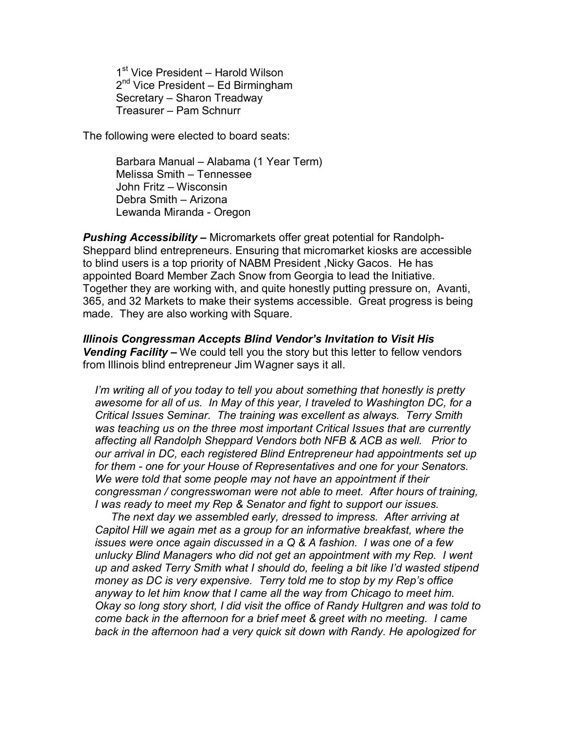1<sup>st</sup> Vice President – Harold Wilson 2<sup>nd</sup> Vice President – Ed Birmingham Secretary – Sharon Treadway Treasurer – Pam Schnurr

The following were elected to board seats:

Barbara Manual – Alabama (1 Year Term) Melissa Smith – Tennessee John Fritz – Wisconsin Debra Smith – Arizona Lewanda Miranda - Oregon

*Pushing Accessibility –* Micromarkets offer great potential for Randolph-Sheppard blind entrepreneurs. Ensuring that micromarket kiosks are accessible to blind users is a top priority of NABM President ,Nicky Gacos. He has appointed Board Member Zach Snow from Georgia to lead the Initiative. Together they are working with, and quite honestly putting pressure on, Avanti, 365, and 32 Markets to make their systems accessible. Great progress is being made. They are also working with Square.

*Illinois Congressman Accepts Blind Vendor's Invitation to Visit His Vending Facility –* We could tell you the story but this letter to fellow vendors from Illinois blind entrepreneur Jim Wagner says it all.

*I'm writing all of you today to tell you about something that honestly is pretty awesome for all of us. In May of this year, I traveled to Washington DC, for a Critical Issues Seminar. The training was excellent as always. Terry Smith was teaching us on the three most important Critical Issues that are currently affecting all Randolph Sheppard Vendors both NFB & ACB as well. Prior to our arrival in DC, each registered Blind Entrepreneur had appointments set up for them - one for your House of Representatives and one for your Senators. We were told that some people may not have an appointment if their congressman / congresswoman were not able to meet. After hours of training, I was ready to meet my Rep & Senator and fight to support our issues.* 

 *The next day we assembled early, dressed to impress. After arriving at Capitol Hill we again met as a group for an informative breakfast, where the issues were once again discussed in a Q & A fashion. I was one of a few unlucky Blind Managers who did not get an appointment with my Rep. I went up and asked Terry Smith what I should do, feeling a bit like I'd wasted stipend money as DC is very expensive. Terry told me to stop by my Rep's office anyway to let him know that I came all the way from Chicago to meet him. Okay so long story short, I did visit the office of Randy Hultgren and was told to come back in the afternoon for a brief meet & greet with no meeting. I came back in the afternoon had a very quick sit down with Randy. He apologized for*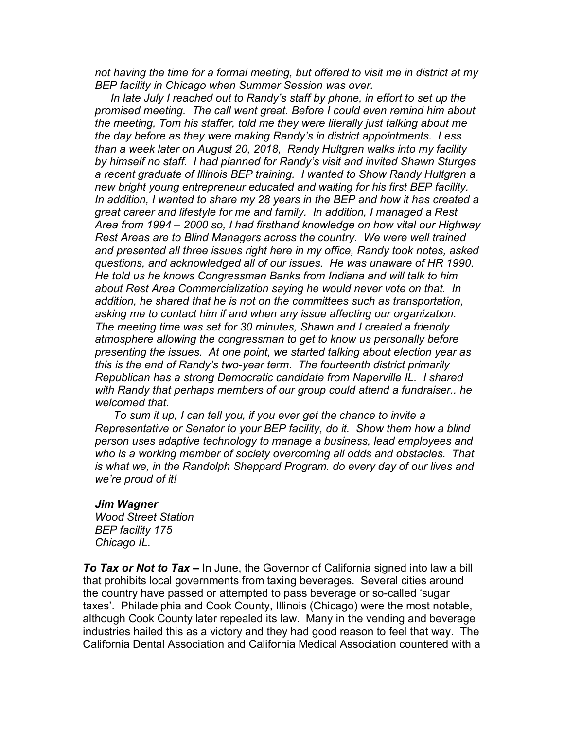*not having the time for a formal meeting, but offered to visit me in district at my BEP facility in Chicago when Summer Session was over.* 

*In late July I reached out to Randy's staff by phone, in effort to set up the promised meeting. The call went great. Before I could even remind him about the meeting, Tom his staffer, told me they were literally just talking about me the day before as they were making Randy's in district appointments. Less than a week later on August 20, 2018, Randy Hultgren walks into my facility by himself no staff. I had planned for Randy's visit and invited Shawn Sturges a recent graduate of Illinois BEP training. I wanted to Show Randy Hultgren a new bright young entrepreneur educated and waiting for his first BEP facility. In addition, I wanted to share my 28 years in the BEP and how it has created a great career and lifestyle for me and family. In addition, I managed a Rest Area from 1994 – 2000 so, I had firsthand knowledge on how vital our Highway Rest Areas are to Blind Managers across the country. We were well trained and presented all three issues right here in my office, Randy took notes, asked questions, and acknowledged all of our issues. He was unaware of HR 1990. He told us he knows Congressman Banks from Indiana and will talk to him about Rest Area Commercialization saying he would never vote on that. In addition, he shared that he is not on the committees such as transportation, asking me to contact him if and when any issue affecting our organization. The meeting time was set for 30 minutes, Shawn and I created a friendly atmosphere allowing the congressman to get to know us personally before presenting the issues. At one point, we started talking about election year as this is the end of Randy's two-year term. The fourteenth district primarily Republican has a strong Democratic candidate from Naperville IL. I shared with Randy that perhaps members of our group could attend a fundraiser.. he welcomed that.* 

*To sum it up, I can tell you, if you ever get the chance to invite a Representative or Senator to your BEP facility, do it. Show them how a blind person uses adaptive technology to manage a business, lead employees and who is a working member of society overcoming all odds and obstacles. That is what we, in the Randolph Sheppard Program. do every day of our lives and we're proud of it!*

#### *Jim Wagner*

*Wood Street Station BEP facility 175 Chicago IL.*

*To Tax or Not to Tax –* In June, the Governor of California signed into law a bill that prohibits local governments from taxing beverages. Several cities around the country have passed or attempted to pass beverage or so-called 'sugar taxes'. Philadelphia and Cook County, Illinois (Chicago) were the most notable, although Cook County later repealed its law. Many in the vending and beverage industries hailed this as a victory and they had good reason to feel that way. The California Dental Association and California Medical Association countered with a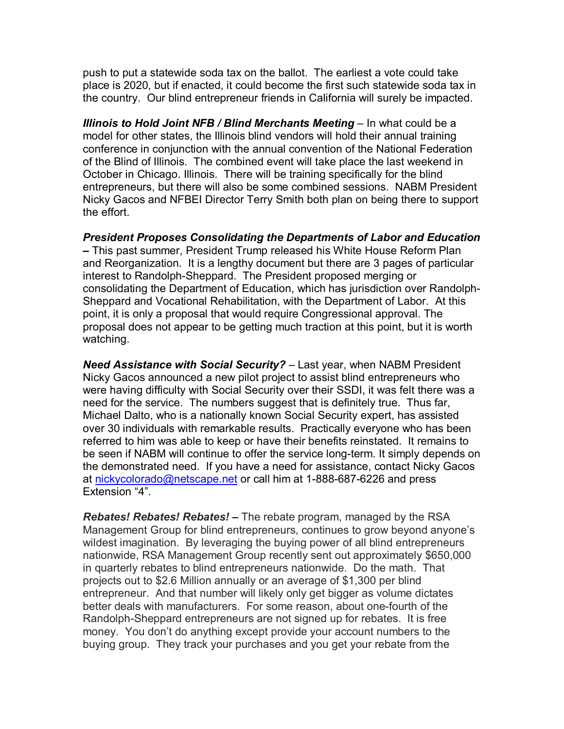push to put a statewide soda tax on the ballot. The earliest a vote could take place is 2020, but if enacted, it could become the first such statewide soda tax in the country. Our blind entrepreneur friends in California will surely be impacted.

**Illinois to Hold Joint NFB / Blind Merchants Meeting - In what could be a** model for other states, the Illinois blind vendors will hold their annual training conference in conjunction with the annual convention of the National Federation of the Blind of Illinois. The combined event will take place the last weekend in October in Chicago. Illinois. There will be training specifically for the blind entrepreneurs, but there will also be some combined sessions. NABM President Nicky Gacos and NFBEI Director Terry Smith both plan on being there to support the effort.

*President Proposes Consolidating the Departments of Labor and Education –* This past summer, President Trump released his White House Reform Plan and Reorganization. It is a lengthy document but there are 3 pages of particular interest to Randolph-Sheppard. The President proposed merging or consolidating the Department of Education, which has jurisdiction over Randolph-Sheppard and Vocational Rehabilitation, with the Department of Labor. At this point, it is only a proposal that would require Congressional approval. The proposal does not appear to be getting much traction at this point, but it is worth watching.

*Need Assistance with Social Security?* – Last year, when NABM President Nicky Gacos announced a new pilot project to assist blind entrepreneurs who were having difficulty with Social Security over their SSDI, it was felt there was a need for the service. The numbers suggest that is definitely true. Thus far, Michael Dalto, who is a nationally known Social Security expert, has assisted over 30 individuals with remarkable results. Practically everyone who has been referred to him was able to keep or have their benefits reinstated. It remains to be seen if NABM will continue to offer the service long-term. It simply depends on the demonstrated need. If you have a need for assistance, contact Nicky Gacos at [nickycolorado@netscape.net](mailto:nickycolorado@netscape.net) or call him at 1-888-687-6226 and press Extension "4".

*Rebates! Rebates! Rebates! –* The rebate program, managed by the RSA Management Group for blind entrepreneurs, continues to grow beyond anyone's wildest imagination. By leveraging the buying power of all blind entrepreneurs nationwide, RSA Management Group recently sent out approximately \$650,000 in quarterly rebates to blind entrepreneurs nationwide. Do the math. That projects out to \$2.6 Million annually or an average of \$1,300 per blind entrepreneur. And that number will likely only get bigger as volume dictates better deals with manufacturers. For some reason, about one-fourth of the Randolph-Sheppard entrepreneurs are not signed up for rebates. It is free money. You don't do anything except provide your account numbers to the buying group. They track your purchases and you get your rebate from the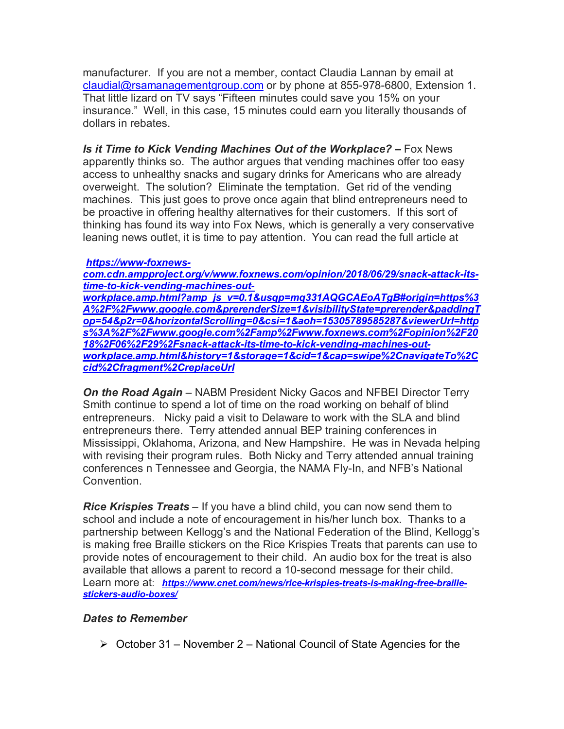manufacturer. If you are not a member, contact Claudia Lannan by email at [claudial@rsamanagementgroup.com](mailto:claudial@rsamanagementgroup.com) or by phone at 855-978-6800, Extension 1. That little lizard on TV says "Fifteen minutes could save you 15% on your insurance." Well, in this case, 15 minutes could earn you literally thousands of dollars in rebates.

*Is it Time to Kick Vending Machines Out of the Workplace? –* Fox News apparently thinks so. The author argues that vending machines offer too easy access to unhealthy snacks and sugary drinks for Americans who are already overweight. The solution? Eliminate the temptation. Get rid of the vending machines. This just goes to prove once again that blind entrepreneurs need to be proactive in offering healthy alternatives for their customers. If this sort of thinking has found its way into Fox News, which is generally a very conservative leaning news outlet, it is time to pay attention. You can read the full article at

#### *[https://www-foxnews-](https://www-foxnews-com.cdn.ampproject.org/v/www.foxnews.com/opinion/2018/06/29/snack-attack-its-time-to-kick-vending-machines-out-workplace.amp.html?amp_js_v=0.1&usqp=mq331AQGCAEoATgB#origin=https%3A%2F%2Fwww.google.com&prerenderSize=1&visibilityState=prerender&paddingTop=54&p2r=0&horizontalScrolling=0&csi=1&aoh=15305789585287&viewerUrl=https%3A%2F%2Fwww.google.com%2Famp%2Fwww.foxnews.com%2Fopinion%2F2018%2F06%2F29%2Fsnack-attack-its-t)*

*[com.cdn.ampproject.org/v/www.foxnews.com/opinion/2018/06/29/snack-attack-its](https://www-foxnews-com.cdn.ampproject.org/v/www.foxnews.com/opinion/2018/06/29/snack-attack-its-time-to-kick-vending-machines-out-workplace.amp.html?amp_js_v=0.1&usqp=mq331AQGCAEoATgB#origin=https%3A%2F%2Fwww.google.com&prerenderSize=1&visibilityState=prerender&paddingTop=54&p2r=0&horizontalScrolling=0&csi=1&aoh=15305789585287&viewerUrl=https%3A%2F%2Fwww.google.com%2Famp%2Fwww.foxnews.com%2Fopinion%2F2018%2F06%2F29%2Fsnack-attack-its-t)[time-to-kick-vending-machines-out-](https://www-foxnews-com.cdn.ampproject.org/v/www.foxnews.com/opinion/2018/06/29/snack-attack-its-time-to-kick-vending-machines-out-workplace.amp.html?amp_js_v=0.1&usqp=mq331AQGCAEoATgB#origin=https%3A%2F%2Fwww.google.com&prerenderSize=1&visibilityState=prerender&paddingTop=54&p2r=0&horizontalScrolling=0&csi=1&aoh=15305789585287&viewerUrl=https%3A%2F%2Fwww.google.com%2Famp%2Fwww.foxnews.com%2Fopinion%2F2018%2F06%2F29%2Fsnack-attack-its-t)*

*[workplace.amp.html?amp\\_js\\_v=0.1&usqp=mq331AQGCAEoATgB#origin=https%3](https://www-foxnews-com.cdn.ampproject.org/v/www.foxnews.com/opinion/2018/06/29/snack-attack-its-time-to-kick-vending-machines-out-workplace.amp.html?amp_js_v=0.1&usqp=mq331AQGCAEoATgB#origin=https%3A%2F%2Fwww.google.com&prerenderSize=1&visibilityState=prerender&paddingTop=54&p2r=0&horizontalScrolling=0&csi=1&aoh=15305789585287&viewerUrl=https%3A%2F%2Fwww.google.com%2Famp%2Fwww.foxnews.com%2Fopinion%2F2018%2F06%2F29%2Fsnack-attack-its-t) [A%2F%2Fwww.google.com&prerenderSize=1&visibilityState=prerender&paddingT](https://www-foxnews-com.cdn.ampproject.org/v/www.foxnews.com/opinion/2018/06/29/snack-attack-its-time-to-kick-vending-machines-out-workplace.amp.html?amp_js_v=0.1&usqp=mq331AQGCAEoATgB#origin=https%3A%2F%2Fwww.google.com&prerenderSize=1&visibilityState=prerender&paddingTop=54&p2r=0&horizontalScrolling=0&csi=1&aoh=15305789585287&viewerUrl=https%3A%2F%2Fwww.google.com%2Famp%2Fwww.foxnews.com%2Fopinion%2F2018%2F06%2F29%2Fsnack-attack-its-t) [op=54&p2r=0&horizontalScrolling=0&csi=1&aoh=15305789585287&viewerUrl=http](https://www-foxnews-com.cdn.ampproject.org/v/www.foxnews.com/opinion/2018/06/29/snack-attack-its-time-to-kick-vending-machines-out-workplace.amp.html?amp_js_v=0.1&usqp=mq331AQGCAEoATgB#origin=https%3A%2F%2Fwww.google.com&prerenderSize=1&visibilityState=prerender&paddingTop=54&p2r=0&horizontalScrolling=0&csi=1&aoh=15305789585287&viewerUrl=https%3A%2F%2Fwww.google.com%2Famp%2Fwww.foxnews.com%2Fopinion%2F2018%2F06%2F29%2Fsnack-attack-its-t) [s%3A%2F%2Fwww.google.com%2Famp%2Fwww.foxnews.com%2Fopinion%2F20](https://www-foxnews-com.cdn.ampproject.org/v/www.foxnews.com/opinion/2018/06/29/snack-attack-its-time-to-kick-vending-machines-out-workplace.amp.html?amp_js_v=0.1&usqp=mq331AQGCAEoATgB#origin=https%3A%2F%2Fwww.google.com&prerenderSize=1&visibilityState=prerender&paddingTop=54&p2r=0&horizontalScrolling=0&csi=1&aoh=15305789585287&viewerUrl=https%3A%2F%2Fwww.google.com%2Famp%2Fwww.foxnews.com%2Fopinion%2F2018%2F06%2F29%2Fsnack-attack-its-t) [18%2F06%2F29%2Fsnack-attack-its-time-to-kick-vending-machines-out](https://www-foxnews-com.cdn.ampproject.org/v/www.foxnews.com/opinion/2018/06/29/snack-attack-its-time-to-kick-vending-machines-out-workplace.amp.html?amp_js_v=0.1&usqp=mq331AQGCAEoATgB#origin=https%3A%2F%2Fwww.google.com&prerenderSize=1&visibilityState=prerender&paddingTop=54&p2r=0&horizontalScrolling=0&csi=1&aoh=15305789585287&viewerUrl=https%3A%2F%2Fwww.google.com%2Famp%2Fwww.foxnews.com%2Fopinion%2F2018%2F06%2F29%2Fsnack-attack-its-t)[workplace.amp.html&history=1&storage=1&cid=1&cap=swipe%2CnavigateTo%2C](https://www-foxnews-com.cdn.ampproject.org/v/www.foxnews.com/opinion/2018/06/29/snack-attack-its-time-to-kick-vending-machines-out-workplace.amp.html?amp_js_v=0.1&usqp=mq331AQGCAEoATgB#origin=https%3A%2F%2Fwww.google.com&prerenderSize=1&visibilityState=prerender&paddingTop=54&p2r=0&horizontalScrolling=0&csi=1&aoh=15305789585287&viewerUrl=https%3A%2F%2Fwww.google.com%2Famp%2Fwww.foxnews.com%2Fopinion%2F2018%2F06%2F29%2Fsnack-attack-its-t) [cid%2Cfragment%2CreplaceUrl](https://www-foxnews-com.cdn.ampproject.org/v/www.foxnews.com/opinion/2018/06/29/snack-attack-its-time-to-kick-vending-machines-out-workplace.amp.html?amp_js_v=0.1&usqp=mq331AQGCAEoATgB#origin=https%3A%2F%2Fwww.google.com&prerenderSize=1&visibilityState=prerender&paddingTop=54&p2r=0&horizontalScrolling=0&csi=1&aoh=15305789585287&viewerUrl=https%3A%2F%2Fwww.google.com%2Famp%2Fwww.foxnews.com%2Fopinion%2F2018%2F06%2F29%2Fsnack-attack-its-t)*

**On the Road Again** – NABM President Nicky Gacos and NFBEI Director Terry Smith continue to spend a lot of time on the road working on behalf of blind entrepreneurs. Nicky paid a visit to Delaware to work with the SLA and blind entrepreneurs there. Terry attended annual BEP training conferences in Mississippi, Oklahoma, Arizona, and New Hampshire. He was in Nevada helping with revising their program rules. Both Nicky and Terry attended annual training conferences n Tennessee and Georgia, the NAMA Fly-In, and NFB's National Convention.

*Rice Krispies Treats* – If you have a blind child, you can now send them to school and include a note of encouragement in his/her lunch box. Thanks to a partnership between Kellogg's and the National Federation of the Blind, Kellogg's is making free Braille stickers on the Rice Krispies Treats that parents can use to provide notes of encouragement to their child. An audio box for the treat is also available that allows a parent to record a 10-second message for their child. Learn more at: *[https://www.cnet.com/news/rice-krispies-treats-is-making-free-braille](https://www.cnet.com/news/rice-krispies-treats-is-making-free-braille-stickers-audio-boxes/)[stickers-audio-boxes/](https://www.cnet.com/news/rice-krispies-treats-is-making-free-braille-stickers-audio-boxes/)*

## *Dates to Remember*

 $\triangleright$  October 31 – November 2 – National Council of State Agencies for the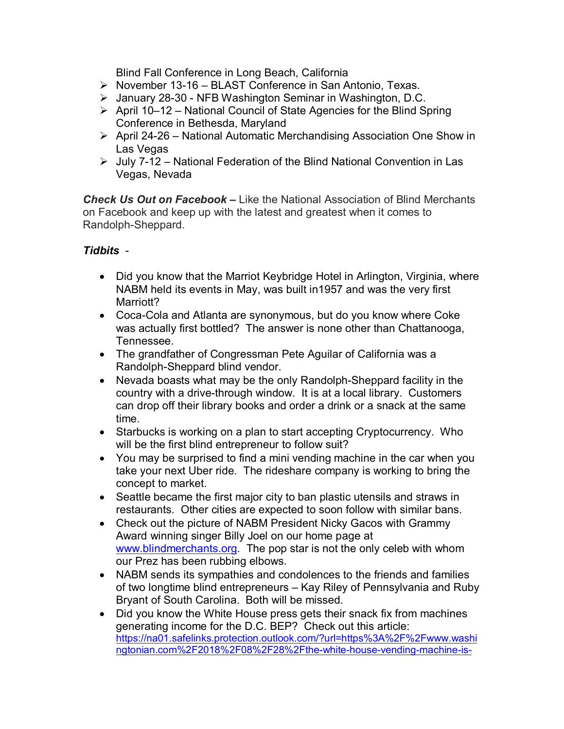Blind Fall Conference in Long Beach, California

- $\triangleright$  November 13-16 BLAST Conference in San Antonio, Texas.
- January 28-30 NFB Washington Seminar in Washington, D.C.
- $\triangleright$  April 10–12 National Council of State Agencies for the Blind Spring Conference in Bethesda, Maryland
- April 24-26 National Automatic Merchandising Association One Show in Las Vegas
- $\triangleright$  July 7-12 National Federation of the Blind National Convention in Las Vegas, Nevada

*Check Us Out on Facebook –* Like the National Association of Blind Merchants on Facebook and keep up with the latest and greatest when it comes to Randolph-Sheppard.

## *Tidbits* -

- Did you know that the Marriot Keybridge Hotel in Arlington, Virginia, where NABM held its events in May, was built in1957 and was the very first Marriott?
- Coca-Cola and Atlanta are synonymous, but do you know where Coke was actually first bottled? The answer is none other than Chattanooga, Tennessee.
- The grandfather of Congressman Pete Aguilar of California was a Randolph-Sheppard blind vendor.
- Nevada boasts what may be the only Randolph-Sheppard facility in the country with a drive-through window. It is at a local library. Customers can drop off their library books and order a drink or a snack at the same time.
- Starbucks is working on a plan to start accepting Cryptocurrency. Who will be the first blind entrepreneur to follow suit?
- You may be surprised to find a mini vending machine in the car when you take your next Uber ride. The rideshare company is working to bring the concept to market.
- Seattle became the first major city to ban plastic utensils and straws in restaurants. Other cities are expected to soon follow with similar bans.
- Check out the picture of NABM President Nicky Gacos with Grammy Award winning singer Billy Joel on our home page at [www.blindmerchants.org.](http://www.blindmerchants.org/) The pop star is not the only celeb with whom our Prez has been rubbing elbows.
- NABM sends its sympathies and condolences to the friends and families of two longtime blind entrepreneurs – Kay Riley of Pennsylvania and Ruby Bryant of South Carolina. Both will be missed.
- Did you know the White House press gets their snack fix from machines generating income for the D.C. BEP? Check out this article: [https://na01.safelinks.protection.outlook.com/?url=https%3A%2F%2Fwww.washi](https://na01.safelinks.protection.outlook.com/?url=https%3A%2F%2Fwww.washingtonian.com%2F2018%2F08%2F28%2Fthe-white-house-vending-machine-is-upping-its-prices%2F&data=02%7C01%7CSteve.Boucher%40compass-usa.com%7C2cca1255db4b4e4abb9b08d60e8c90d2%7Ccd62b7dd4b4844bd90e7e143a22c8ead%7C0%7C0%7C636712394216891776&sdata=Rjqecy0CRe3BngSKN3zokhxzH66Umb352NonEqy0SzQ%3D&reserved=0) [ngtonian.com%2F2018%2F08%2F28%2Fthe-white-house-vending-machine-is-](https://na01.safelinks.protection.outlook.com/?url=https%3A%2F%2Fwww.washingtonian.com%2F2018%2F08%2F28%2Fthe-white-house-vending-machine-is-upping-its-prices%2F&data=02%7C01%7CSteve.Boucher%40compass-usa.com%7C2cca1255db4b4e4abb9b08d60e8c90d2%7Ccd62b7dd4b4844bd90e7e143a22c8ead%7C0%7C0%7C636712394216891776&sdata=Rjqecy0CRe3BngSKN3zokhxzH66Umb352NonEqy0SzQ%3D&reserved=0)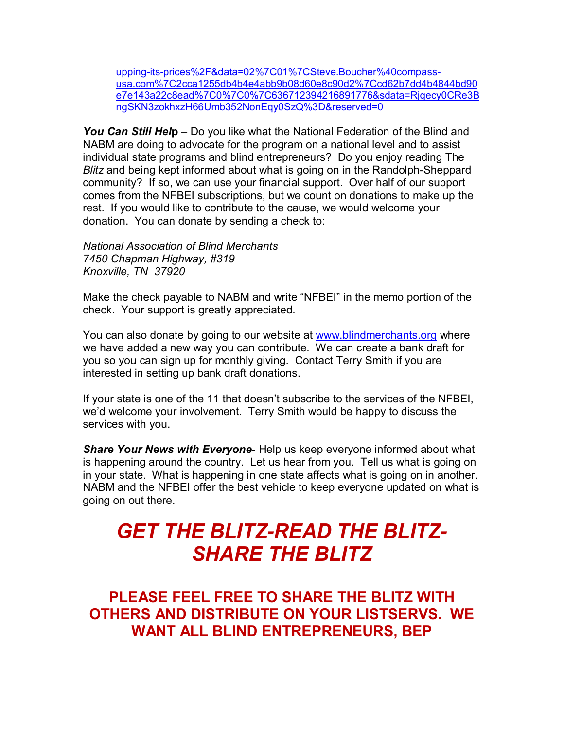upping-its-prices%2F&data=02%7C01%7CSteve.Boucher%40compassusa.com%7C2cca1255db4b4e4abb9b08d60e8c90d2%7Ccd62b7dd4b4844bd90 e7e143a22c8ead%7C0%7C0%7C636712394216891776&sdata=Rjqecy0CRe3B ngSKN3zokhxzH66Umb352NonEqy0SzQ%3D&reserved=0

*You Can Still Hel***p** – Do you like what the National Federation of the Blind and NABM are doing to advocate for the program on a national level and to assist individual state programs and blind entrepreneurs? Do you enjoy reading The *Blitz* and being kept informed about what is going on in the Randolph-Sheppard community? If so, we can use your financial support. Over half of our support comes from the NFBEI subscriptions, but we count on donations to make up the rest. If you would like to contribute to the cause, we would welcome your donation. You can donate by sending a check to:

*National Association of Blind Merchants 7450 Chapman Highway, #319 Knoxville, TN 37920*

Make the check payable to NABM and write "NFBEI" in the memo portion of the check. Your support is greatly appreciated.

You can also donate by going to our website at [www.blindmerchants.org](http://www.blindmerchants.org/) where we have added a new way you can contribute. We can create a bank draft for you so you can sign up for monthly giving. Contact Terry Smith if you are interested in setting up bank draft donations.

If your state is one of the 11 that doesn't subscribe to the services of the NFBEI, we'd welcome your involvement. Terry Smith would be happy to discuss the services with you.

*Share Your News with Everyone*- Help us keep everyone informed about what is happening around the country. Let us hear from you. Tell us what is going on in your state. What is happening in one state affects what is going on in another. NABM and the NFBEI offer the best vehicle to keep everyone updated on what is going on out there.

# *GET THE BLITZ-READ THE BLITZ-SHARE THE BLITZ*

**PLEASE FEEL FREE TO SHARE THE BLITZ WITH OTHERS AND DISTRIBUTE ON YOUR LISTSERVS. WE WANT ALL BLIND ENTREPRENEURS, BEP**